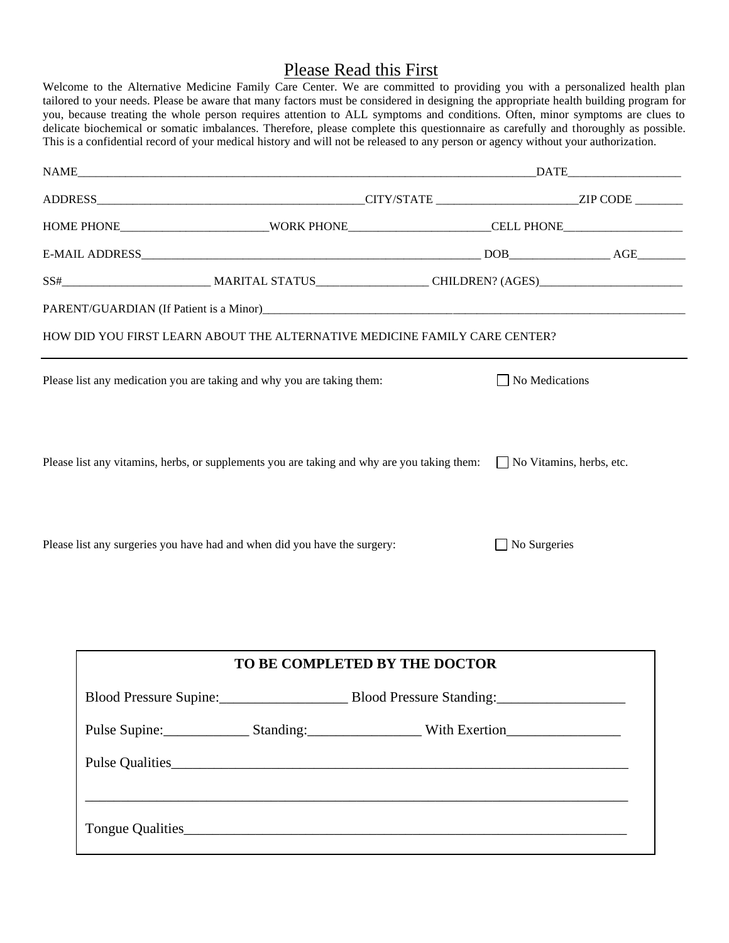# Please Read this First

Welcome to the Alternative Medicine Family Care Center. We are committed to providing you with a personalized health plan tailored to your needs. Please be aware that many factors must be considered in designing the appropriate health building program for you, because treating the whole person requires attention to ALL symptoms and conditions. Often, minor symptoms are clues to delicate biochemical or somatic imbalances. Therefore, please complete this questionnaire as carefully and thoroughly as possible. This is a confidential record of your medical history and will not be released to any person or agency without your authorization.

| HOME PHONE______________________________WORK PHONE______________________CELL PHONE__________________                        |
|-----------------------------------------------------------------------------------------------------------------------------|
|                                                                                                                             |
|                                                                                                                             |
|                                                                                                                             |
|                                                                                                                             |
|                                                                                                                             |
| HOW DID YOU FIRST LEARN ABOUT THE ALTERNATIVE MEDICINE FAMILY CARE CENTER?                                                  |
| $\Box$ No Medications                                                                                                       |
| Please list any vitamins, herbs, or supplements you are taking and why are you taking them: $\Box$ No Vitamins, herbs, etc. |
| $\Box$ No Surgeries                                                                                                         |
|                                                                                                                             |
| TO BE COMPLETED BY THE DOCTOR                                                                                               |
| Blood Pressure Standing:                                                                                                    |
| Pulse Supine: Standing: Standing: With Exertion                                                                             |
|                                                                                                                             |
|                                                                                                                             |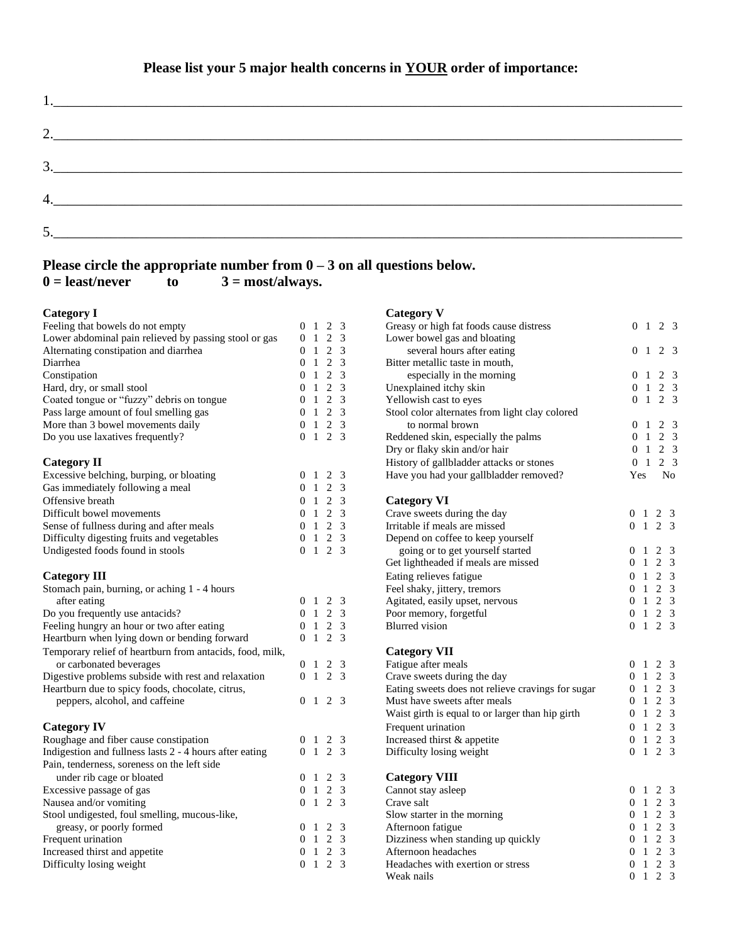| $2. \underline{\hspace{2cm}}$       |  |  |
|-------------------------------------|--|--|
|                                     |  |  |
| $\begin{array}{c}\n3.\n\end{array}$ |  |  |
|                                     |  |  |
|                                     |  |  |
|                                     |  |  |
|                                     |  |  |

## **Please circle the appropriate number from**  $0 - 3$  **on all questions below.**  $0 =$  **least/never** to  $3 =$  **most/always.**  $\epsilon$  **b**  $\epsilon$  3 = most/always.

| <b>Category I</b>                                        |                |                     |                     |     | <b>Category V</b>                                 |                |                |                 |                |
|----------------------------------------------------------|----------------|---------------------|---------------------|-----|---------------------------------------------------|----------------|----------------|-----------------|----------------|
| Feeling that bowels do not empty                         | $\theta$       | -1                  |                     | 2 3 | Greasy or high fat foods cause distress           |                | 0 <sub>1</sub> |                 | 2 3            |
| Lower abdominal pain relieved by passing stool or gas    | 0              | $\,$ $\,$ $\,$      | 2 <sub>3</sub>      |     | Lower bowel gas and bloating                      |                |                |                 |                |
| Alternating constipation and diarrhea                    | $\overline{0}$ | -1                  | 2                   | 3   | several hours after eating                        |                | 0 <sub>1</sub> |                 | 2 3            |
| Diarrhea                                                 | $\overline{0}$ | -1                  | $\overline{c}$      | 3   | Bitter metallic taste in mouth,                   |                |                |                 |                |
| Constipation                                             | $\theta$       | $\,$ 1 $\,$         | 2                   | 3   | especially in the morning                         |                | 0 <sub>1</sub> |                 | 2 3            |
| Hard, dry, or small stool                                | $\overline{0}$ | $\,$ 1 $\,$         | $\overline{2}$      | 3   | Unexplained itchy skin                            |                | 0 <sub>1</sub> |                 | 2 <sub>3</sub> |
| Coated tongue or "fuzzy" debris on tongue                | 0              | 1                   | 2                   | 3   | Yellowish cast to eyes                            |                | 0 <sub>1</sub> |                 | 2 <sub>3</sub> |
| Pass large amount of foul smelling gas                   | $\mathbf{0}$   | -1                  | 2                   | 3   | Stool color alternates from light clay colored    |                |                |                 |                |
| More than 3 bowel movements daily                        | $\Omega$       | -1                  | 2                   | 3   | to normal brown                                   | $\Omega$       | $\overline{1}$ |                 | 2 <sub>3</sub> |
| Do you use laxatives frequently?                         |                |                     | $0 \t1 \t2 \t3$     |     | Reddened skin, especially the palms               | $\overline{0}$ | -1             |                 | 2 <sub>3</sub> |
|                                                          |                |                     |                     |     | Dry or flaky skin and/or hair                     |                | 0 <sub>1</sub> |                 | 2 <sub>3</sub> |
| <b>Category II</b>                                       |                |                     |                     |     | History of gallbladder attacks or stones          |                | 0 <sub>1</sub> |                 | 2 <sub>3</sub> |
| Excessive belching, burping, or bloating                 |                |                     | $0 \t1 \t2 \t3$     |     | Have you had your gallbladder removed?            | Yes            |                |                 | N <sub>0</sub> |
| Gas immediately following a meal                         | $\theta$       | -1                  | 2                   | 3   |                                                   |                |                |                 |                |
| Offensive breath                                         | $\theta$       | -1                  | $\overline{2}$      | 3   | <b>Category VI</b>                                |                |                |                 |                |
| Difficult bowel movements                                | $\Omega$       |                     | $1 \t2 \t3$         |     | Crave sweets during the day                       |                |                | $0 \t1 \t2 \t3$ |                |
| Sense of fullness during and after meals                 | $\overline{0}$ | -1                  | 2                   | 3   | Irritable if meals are missed                     | 0 <sub>1</sub> |                | 2 <sub>3</sub>  |                |
| Difficulty digesting fruits and vegetables               | $\overline{0}$ | $\,$ 1 $\,$         | $\overline{2}$      | 3   | Depend on coffee to keep yourself                 |                |                |                 |                |
| Undigested foods found in stools                         |                |                     | $0 \t1 \t2 \t3$     |     | going or to get yourself started                  | 0 <sub>1</sub> |                | 2 <sub>3</sub>  |                |
|                                                          |                |                     |                     |     | Get lightheaded if meals are missed               | 0 <sub>1</sub> |                | 2 <sub>3</sub>  |                |
| <b>Category III</b>                                      |                |                     |                     |     | Eating relieves fatigue                           | 0 <sub>1</sub> |                | 2 <sub>3</sub>  |                |
| Stomach pain, burning, or aching 1 - 4 hours             |                |                     |                     |     | Feel shaky, jittery, tremors                      | $\overline{0}$ | -1             | 2 <sub>3</sub>  |                |
| after eating                                             |                |                     | $0 \t1 \t2 \t3$     |     | Agitated, easily upset, nervous                   | 0 <sub>1</sub> |                | 2 <sub>3</sub>  |                |
| Do you frequently use antacids?                          | $\Omega$       | -1                  | 2                   | 3   | Poor memory, forgetful                            | $\overline{0}$ | $\mathbf{1}$   | 2 <sub>3</sub>  |                |
| Feeling hungry an hour or two after eating               | $\overline{0}$ | -1                  | $\overline{c}$      | 3   | <b>Blurred</b> vision                             |                |                | $0 \t1 \t2 \t3$ |                |
| Heartburn when lying down or bending forward             |                | 0 <sub>1</sub>      | $\overline{2}$      | 3   |                                                   |                |                |                 |                |
| Temporary relief of heartburn from antacids, food, milk, |                |                     |                     |     | <b>Category VII</b>                               |                |                |                 |                |
| or carbonated beverages                                  |                | $0 \quad 1 \quad 2$ |                     | 3   | Fatigue after meals                               | 0 <sub>1</sub> |                | 2 3             |                |
| Digestive problems subside with rest and relaxation      |                | 0 <sub>1</sub>      | 2                   | 3   | Crave sweets during the day                       | 0 <sub>1</sub> |                | 2 <sub>3</sub>  |                |
| Heartburn due to spicy foods, chocolate, citrus,         |                |                     |                     |     | Eating sweets does not relieve cravings for sugar | $\overline{0}$ | $\mathbf{1}$   | 2 <sub>3</sub>  |                |
| peppers, alcohol, and caffeine                           | $\overline{0}$ | -1                  | 2                   | 3   | Must have sweets after meals                      | $\overline{0}$ | 1              | 2 3             |                |
|                                                          |                |                     |                     |     | Waist girth is equal to or larger than hip girth  | $\Omega$       | 1              | 2 <sub>3</sub>  |                |
| <b>Category IV</b>                                       |                |                     |                     |     | Frequent urination                                | 0 <sub>1</sub> |                | 2 <sub>3</sub>  |                |
| Roughage and fiber cause constipation                    |                | 0 <sub>1</sub>      | 2                   | 3   | Increased thirst & appetite                       | 0 <sub>1</sub> |                | 2 <sub>3</sub>  |                |
| Indigestion and fullness lasts 2 - 4 hours after eating  |                |                     | $0 \quad 1 \quad 2$ | 3   | Difficulty losing weight                          |                |                | $0 \t1 \t2 \t3$ |                |
| Pain, tenderness, soreness on the left side              |                |                     |                     |     |                                                   |                |                |                 |                |
| under rib cage or bloated                                | $\overline{0}$ | - 1                 | 2                   | 3   | <b>Category VIII</b>                              |                |                |                 |                |
| Excessive passage of gas                                 |                | 0 <sub>1</sub>      | 2                   | 3   | Cannot stay asleep                                | 0 <sub>1</sub> |                | 2 <sub>3</sub>  |                |
| Nausea and/or vomiting                                   |                |                     | $0 \t1 \t2 \t3$     |     | Crave salt                                        | 0 <sub>1</sub> |                | 2 <sub>3</sub>  |                |
| Stool undigested, foul smelling, mucous-like,            |                |                     |                     |     | Slow starter in the morning                       | 0 <sub>1</sub> |                | 2 <sub>3</sub>  |                |
| greasy, or poorly formed                                 | $\overline{0}$ | - 1                 | 2                   | 3   | Afternoon fatigue                                 | $\overline{0}$ | -1             | 2 <sub>3</sub>  |                |
| Frequent urination                                       | $\Omega$       | -1                  | 2                   | 3   | Dizziness when standing up quickly                | $\Omega$       | $\mathbf{1}$   | 2 <sub>3</sub>  |                |
| Increased thirst and appetite                            | $\overline{0}$ | -1                  | 2                   | 3   | Afternoon headaches                               | 0 <sub>1</sub> |                | 2 <sub>3</sub>  |                |
| Difficulty losing weight                                 |                |                     | $0 \t1 \t2 \t3$     |     | Headaches with exertion or stress                 |                |                | $0 \t1 \t2 \t3$ |                |
|                                                          |                |                     |                     |     |                                                   |                |                |                 |                |

| Greasy or high fat foods cause distress           | 0              | 1              | 2                   | 3                       |
|---------------------------------------------------|----------------|----------------|---------------------|-------------------------|
| Lower bowel gas and bloating                      |                |                |                     |                         |
| several hours after eating                        | $\overline{0}$ | 1              | 2                   | 3                       |
| Bitter metallic taste in mouth,                   |                |                |                     |                         |
| especially in the morning                         | $\overline{0}$ | -1             |                     | $2 \quad 3$             |
| Unexplained itchy skin                            |                | 0 <sub>1</sub> |                     | $2 \quad 3$             |
| Yellowish cast to eyes                            | 0              | $\overline{1}$ |                     | 2 <sub>3</sub>          |
| Stool color alternates from light clay colored    |                |                |                     |                         |
| to normal brown                                   | 0              | 1              |                     | $2 \quad 3$             |
| Reddened skin, especially the palms               | $\Omega$       | 1              |                     | $2 \quad 3$             |
| Dry or flaky skin and/or hair                     |                | $0-1$          |                     | 2 <sub>3</sub>          |
| History of gallbladder attacks or stones          | $\overline{0}$ | $\mathbf{1}$   |                     | $2 \quad 3$             |
| Have you had your gallbladder removed?            | Yes            |                |                     | No                      |
| <b>Category VI</b>                                |                |                |                     |                         |
| Crave sweets during the day                       | $\overline{0}$ | $\mathbf{1}$   | $\overline{2}$      | 3                       |
| Irritable if meals are missed                     | 0              | $\mathbf{1}$   | $\overline{2}$      | 3                       |
| Depend on coffee to keep yourself                 |                |                |                     |                         |
| going or to get yourself started                  | 0              | 1              | 2 <sub>3</sub>      |                         |
| Get lightheaded if meals are missed               | 0              |                | $1\quad2$           | $\overline{3}$          |
| Eating relieves fatigue                           | 0              |                | $1 \t2 \t3$         |                         |
| Feel shaky, jittery, tremors                      |                |                | $0 \quad 1 \quad 2$ | $\overline{3}$          |
| Agitated, easily upset, nervous                   | 0              |                | $1\quad2$           | $\overline{3}$          |
| Poor memory, forgetful                            | 0              | $\overline{1}$ | $\overline{2}$      | $\overline{3}$          |
| <b>Blurred</b> vision                             | 0              | 1              | 2 <sub>3</sub>      |                         |
|                                                   |                |                |                     |                         |
| <b>Category VII</b>                               |                |                |                     |                         |
| Fatigue after meals                               | 0              | $\mathbf{1}$   | $2 \quad 3$         |                         |
| Crave sweets during the day                       | 0              | 1              | $\overline{c}$      | $\overline{3}$          |
| Eating sweets does not relieve cravings for sugar | 0              | $\mathbf{1}$   | $\overline{2}$      | $\overline{3}$          |
| Must have sweets after meals                      | 0              |                | $1\quad 2$          | $\overline{3}$          |
| Waist girth is equal to or larger than hip girth  | 0              |                | $1\quad2$           | $\overline{3}$          |
| Frequent urination                                | 0              |                | $1\quad 2$          | $\overline{3}$          |
| Increased thirst & appetite                       | 0              |                | $1\quad2$           | $\mathfrak{Z}$          |
| Difficulty losing weight                          | 0              | 1              | $\overline{2}$      | 3                       |
| <b>Category VIII</b>                              |                |                |                     |                         |
| Cannot stay asleep                                | $\overline{0}$ | 1              | 2                   | $\mathbf{3}$            |
| Crave salt                                        | $\overline{0}$ |                | $1\quad2$           | $\overline{3}$          |
| Slow starter in the morning                       | 0              | $\mathbf{1}$   | $\overline{c}$      | $\overline{3}$          |
| Afternoon fatigue                                 |                |                | $0 \quad 1 \quad 2$ | $\overline{\mathbf{3}}$ |
| Dizziness when standing up quickly                | 0              |                | $1\quad 2$          | $\mathfrak{Z}$          |
| Afternoon headaches                               | 0              | $\mathbf{1}$   | $\overline{c}$      | 3                       |
| Headaches with exertion or stress                 | $\overline{0}$ | $\mathbf{1}$   | $\overline{2}$      | 3                       |
| Weak nails                                        | 0              | 1              | $\mathfrak{D}$      | 3                       |
|                                                   |                |                |                     |                         |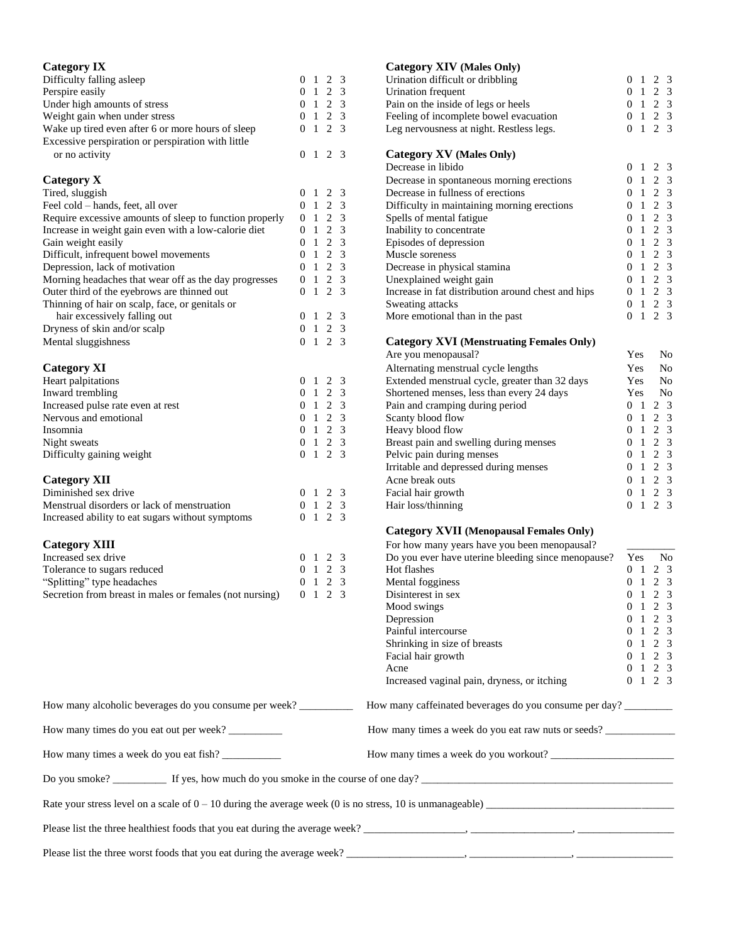| <b>Category IX</b>                                               |                |                                  |                                        |                         | <b>Category XIV (Males Only)</b>                                                                           |                                     |  |                            |  |
|------------------------------------------------------------------|----------------|----------------------------------|----------------------------------------|-------------------------|------------------------------------------------------------------------------------------------------------|-------------------------------------|--|----------------------------|--|
| Difficulty falling asleep                                        |                |                                  | $0 \t1 \t2 \t3$                        |                         | Urination difficult or dribbling                                                                           | 0 <sub>1</sub>                      |  | 2 <sub>3</sub>             |  |
| Perspire easily                                                  | $\overline{0}$ | -1                               | $\overline{c}$                         | 3                       | Urination frequent                                                                                         | 0<br>-1                             |  | 2 <sub>3</sub>             |  |
| Under high amounts of stress<br>Weight gain when under stress    | $\overline{0}$ | 0 <sub>1</sub><br>$\overline{1}$ | 2 <sub>3</sub><br>2 <sub>3</sub>       |                         | Pain on the inside of legs or heels<br>Feeling of incomplete bowel evacuation                              | 0 <sub>1</sub><br>$\mathbf{1}$<br>0 |  | $2 \quad 3$<br>$2 \quad 3$ |  |
| Wake up tired even after 6 or more hours of sleep                |                |                                  | $0 \t1 \t2 \t3$                        |                         | Leg nervousness at night. Restless legs.                                                                   | $0 \t1 \t2 \t3$                     |  |                            |  |
| Excessive perspiration or perspiration with little               |                |                                  |                                        |                         |                                                                                                            |                                     |  |                            |  |
| or no activity                                                   |                |                                  | $0 \t1 \t2 \t3$                        |                         | <b>Category XV (Males Only)</b>                                                                            |                                     |  |                            |  |
|                                                                  |                |                                  |                                        |                         | Decrease in libido                                                                                         | 0 <sub>1</sub>                      |  | 2 <sub>3</sub>             |  |
| <b>Category X</b>                                                |                |                                  |                                        |                         | Decrease in spontaneous morning erections                                                                  | 0 <sub>1</sub>                      |  | 2 <sub>3</sub>             |  |
| Tired, sluggish                                                  |                |                                  | $0 \t1 \t2 \t3$                        |                         | Decrease in fullness of erections                                                                          | 0<br>-1                             |  | 2 <sub>3</sub>             |  |
| Feel cold – hands, feet, all over                                |                | 0 <sub>1</sub>                   | $\overline{2}$                         | 3                       | Difficulty in maintaining morning erections                                                                | 0<br>-1                             |  | 2 3                        |  |
| Require excessive amounts of sleep to function properly          |                | 0 <sub>1</sub>                   | 2                                      | $\overline{\mathbf{3}}$ | Spells of mental fatigue                                                                                   | 0<br>-1                             |  | 2 <sub>3</sub>             |  |
| Increase in weight gain even with a low-calorie diet             |                | 0 <sub>1</sub>                   | 2 <sub>3</sub>                         |                         | Inability to concentrate                                                                                   | 0<br>-1                             |  | 2 <sub>3</sub>             |  |
| Gain weight easily<br>Difficult, infrequent bowel movements      |                | 0 <sub>1</sub><br>0 <sub>1</sub> | 2 <sub>3</sub><br>2 <sub>3</sub>       |                         | Episodes of depression<br>Muscle soreness                                                                  | 0<br>$\,$ 1 $\,$<br>0 <sub>1</sub>  |  | 2 3<br>2 3                 |  |
| Depression, lack of motivation                                   |                |                                  | $0 \t1 \t2 \t3$                        |                         | Decrease in physical stamina                                                                               | 0<br>$\,$ 1 $\,$                    |  | 2 <sub>3</sub>             |  |
| Morning headaches that wear off as the day progresses            |                |                                  | $0 \t1 \t2 \t3$                        |                         | Unexplained weight gain                                                                                    | 0<br>-1                             |  | 2 <sub>3</sub>             |  |
| Outer third of the eyebrows are thinned out                      |                |                                  | $0 \t1 \t2 \t3$                        |                         | Increase in fat distribution around chest and hips                                                         | 0 <sub>1</sub>                      |  | $2 \quad 3$                |  |
| Thinning of hair on scalp, face, or genitals or                  |                |                                  |                                        |                         | Sweating attacks                                                                                           | 0 <sub>1</sub>                      |  | 2 <sub>3</sub>             |  |
| hair excessively falling out                                     |                |                                  | $0 \t1 \t2 \t3$                        |                         | More emotional than in the past                                                                            | 0 <sub>1</sub>                      |  | 2 3                        |  |
| Dryness of skin and/or scalp                                     | $\Omega$       | 1                                | 2 <sub>3</sub>                         |                         |                                                                                                            |                                     |  |                            |  |
| Mental sluggishness                                              |                |                                  | $0 \t1 \t2 \t3$                        |                         | <b>Category XVI</b> (Menstruating Females Only)                                                            |                                     |  |                            |  |
|                                                                  |                |                                  |                                        |                         | Are you menopausal?                                                                                        | Yes                                 |  | No                         |  |
| <b>Category XI</b>                                               |                |                                  |                                        |                         | Alternating menstrual cycle lengths                                                                        | Yes                                 |  | No                         |  |
| Heart palpitations                                               |                | 0 <sub>1</sub>                   | $\sqrt{2}$                             | 3                       | Extended menstrual cycle, greater than 32 days                                                             | Yes                                 |  | N <sub>o</sub>             |  |
| Inward trembling                                                 |                | 0 <sub>1</sub>                   | 2 <sub>3</sub>                         |                         | Shortened menses, less than every 24 days                                                                  | Yes                                 |  | No                         |  |
| Increased pulse rate even at rest                                |                | 0 <sub>1</sub>                   | 2                                      | -3                      | Pain and cramping during period                                                                            | 0 <sub>1</sub>                      |  | 2 3<br>2 <sub>3</sub>      |  |
| Nervous and emotional<br>Insomnia                                |                | 0 <sub>1</sub>                   | $\overline{c}$<br>$0 \t1 \t2 \t3$      | 3                       | Scanty blood flow<br>Heavy blood flow                                                                      | 0 <sub>1</sub><br>0<br>-1           |  | 2 <sub>3</sub>             |  |
| Night sweats                                                     |                | 0 <sub>1</sub>                   | $2 \quad 3$                            |                         | Breast pain and swelling during menses                                                                     | -1<br>0                             |  | 2 3                        |  |
| Difficulty gaining weight                                        |                |                                  | $0 \t1 \t2 \t3$                        |                         | Pelvic pain during menses                                                                                  | 0 <sub>1</sub>                      |  | 2 <sub>3</sub>             |  |
|                                                                  |                |                                  |                                        |                         | Irritable and depressed during menses                                                                      | $\overline{0}$<br>-1                |  | 2 <sub>3</sub>             |  |
| <b>Category XII</b>                                              |                |                                  |                                        |                         | Acne break outs                                                                                            | $\,$ 1 $\,$<br>0                    |  | 2 <sub>3</sub>             |  |
| Diminished sex drive                                             |                |                                  | $0 \t1 \t2 \t3$                        |                         | Facial hair growth                                                                                         | 0 <sub>1</sub>                      |  | 2 <sub>3</sub>             |  |
| Menstrual disorders or lack of menstruation                      |                |                                  | $0 \t1 \t2 \t3$                        |                         | Hair loss/thinning                                                                                         | $0 \t1 \t2 \t3$                     |  |                            |  |
| Increased ability to eat sugars without symptoms                 |                |                                  | $0 \t1 \t2 \t3$                        |                         |                                                                                                            |                                     |  |                            |  |
|                                                                  |                |                                  |                                        |                         | <b>Category XVII (Menopausal Females Only)</b>                                                             |                                     |  |                            |  |
| <b>Category XIII</b>                                             |                |                                  |                                        |                         | For how many years have you been menopausal?                                                               |                                     |  |                            |  |
| Increased sex drive                                              |                |                                  | $0 \t1 \t2 \t3$                        |                         | Do you ever have uterine bleeding since menopause?                                                         | Yes                                 |  | No                         |  |
| Tolerance to sugars reduced                                      |                | 0 <sub>1</sub>                   | 2 <sub>3</sub>                         |                         | Hot flashes                                                                                                | 0 <sub>1</sub>                      |  | 2 3                        |  |
| "Splitting" type headaches                                       |                |                                  | $0 \quad 1 \quad 2$<br>$0 \t1 \t2 \t3$ | 3                       | Mental fogginess                                                                                           | $0 \t1 \t2 \t3$                     |  |                            |  |
| Secretion from breast in males or females (not nursing)          |                |                                  |                                        |                         | Disinterest in sex<br>Mood swings                                                                          | $0 \t1 \t2 \t3$<br>0 1 2 3          |  |                            |  |
|                                                                  |                |                                  |                                        |                         | Depression                                                                                                 | 0 1 2 3                             |  |                            |  |
|                                                                  |                |                                  |                                        |                         | Painful intercourse                                                                                        | $0 \t1 \t2 \t3$                     |  |                            |  |
|                                                                  |                |                                  |                                        |                         | Shrinking in size of breasts                                                                               | $0 \t1 \t2 \t3$                     |  |                            |  |
|                                                                  |                |                                  |                                        |                         | Facial hair growth                                                                                         | $0 \t1 \t2 \t3$                     |  |                            |  |
|                                                                  |                |                                  |                                        |                         | Acne                                                                                                       | $0 \t1 \t2 \t3$                     |  |                            |  |
|                                                                  |                |                                  |                                        |                         | Increased vaginal pain, dryness, or itching                                                                | $0 \t1 \t2 \t3$                     |  |                            |  |
| How many alcoholic beverages do you consume per week? __________ |                |                                  |                                        |                         | How many caffeinated beverages do you consume per day?                                                     |                                     |  |                            |  |
| How many times do you eat out per week? _________                |                |                                  |                                        |                         | How many times a week do you eat raw nuts or seeds?                                                        |                                     |  |                            |  |
|                                                                  |                |                                  |                                        |                         |                                                                                                            |                                     |  |                            |  |
|                                                                  |                |                                  |                                        |                         |                                                                                                            |                                     |  |                            |  |
|                                                                  |                |                                  |                                        |                         | Rate your stress level on a scale of $0 - 10$ during the average week (0 is no stress, 10 is unmanageable) |                                     |  |                            |  |
|                                                                  |                |                                  |                                        |                         |                                                                                                            |                                     |  |                            |  |
|                                                                  |                |                                  |                                        |                         |                                                                                                            |                                     |  |                            |  |